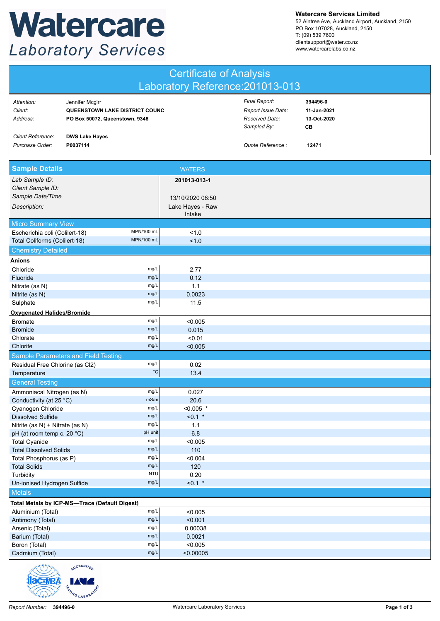## Watercare **Laboratory Services**

**Watercare Services Limited**

52 Aintree Ave, Auckland Airport, Auckland, 2150 PO Box 107028, Auckland, 2150 T: (09) 539 7600 clientsupport@water.co.nz www.watercarelabs.co.nz

| <b>Certificate of Analysis</b>                                               |                                                                                     |                            |                                                                      |                                              |  |  |
|------------------------------------------------------------------------------|-------------------------------------------------------------------------------------|----------------------------|----------------------------------------------------------------------|----------------------------------------------|--|--|
| Laboratory Reference: 201013-013                                             |                                                                                     |                            |                                                                      |                                              |  |  |
| Attention:<br>Client:<br>Address:                                            | Jennifer Mcgirr<br>QUEENSTOWN LAKE DISTRICT COUNC<br>PO Box 50072, Queenstown, 9348 |                            | Final Report:<br>Report Issue Date:<br>Received Date:<br>Sampled By: | 394496-0<br>11-Jan-2021<br>13-Oct-2020<br>CВ |  |  |
| <b>Client Reference:</b><br>Purchase Order:                                  | <b>DWS Lake Hayes</b><br>P0037114                                                   |                            | Quote Reference:                                                     | 12471                                        |  |  |
| <b>Sample Details</b>                                                        |                                                                                     | <b>WATERS</b>              |                                                                      |                                              |  |  |
| Lab Sample ID:<br>Client Sample ID:                                          |                                                                                     | 201013-013-1               |                                                                      |                                              |  |  |
| Sample Date/Time                                                             |                                                                                     | 13/10/2020 08:50           |                                                                      |                                              |  |  |
| Description:                                                                 |                                                                                     | Lake Hayes - Raw<br>Intake |                                                                      |                                              |  |  |
| Micro Summary View                                                           |                                                                                     |                            |                                                                      |                                              |  |  |
| Escherichia coli (Colilert-18)                                               | MPN/100 mL                                                                          | 1.0                        |                                                                      |                                              |  |  |
| Total Coliforms (Colilert-18)                                                | <b>MPN/100 mL</b>                                                                   | 1.0                        |                                                                      |                                              |  |  |
| <b>Chemistry Detailed</b>                                                    |                                                                                     |                            |                                                                      |                                              |  |  |
| <b>Anions</b><br>Chloride                                                    | mg/L                                                                                | 2.77                       |                                                                      |                                              |  |  |
| Fluoride                                                                     | mg/L                                                                                | 0.12                       |                                                                      |                                              |  |  |
| Nitrate (as N)                                                               | mg/L                                                                                | 1.1                        |                                                                      |                                              |  |  |
| Nitrite (as N)                                                               | mg/L                                                                                | 0.0023                     |                                                                      |                                              |  |  |
| Sulphate                                                                     | mg/L                                                                                | 11.5                       |                                                                      |                                              |  |  |
| <b>Oxygenated Halides/Bromide</b>                                            |                                                                                     |                            |                                                                      |                                              |  |  |
| <b>Bromate</b>                                                               | mg/L                                                                                | < 0.005                    |                                                                      |                                              |  |  |
| <b>Bromide</b>                                                               | mg/L                                                                                | 0.015                      |                                                                      |                                              |  |  |
| Chlorate                                                                     | mg/L<br>mg/L                                                                        | < 0.01                     |                                                                      |                                              |  |  |
| Chlorite                                                                     |                                                                                     | < 0.005                    |                                                                      |                                              |  |  |
| Residual Free Chlorine (as Cl2)                                              | <b>Sample Parameters and Field Testing</b><br>mg/L                                  | 0.02                       |                                                                      |                                              |  |  |
| Temperature                                                                  | $^{\circ}{\rm C}$                                                                   | 13.4                       |                                                                      |                                              |  |  |
| <b>General Testing</b>                                                       |                                                                                     |                            |                                                                      |                                              |  |  |
| Ammoniacal Nitrogen (as N)                                                   | mg/L                                                                                | 0.027                      |                                                                      |                                              |  |  |
| Conductivity (at 25 °C)                                                      | mS/m                                                                                | 20.6                       |                                                                      |                                              |  |  |
| Cyanogen Chloride                                                            | mg/L                                                                                | $< 0.005$ *                |                                                                      |                                              |  |  |
| <b>Dissolved Sulfide</b>                                                     | mg/L                                                                                | $< 0.1$ *                  |                                                                      |                                              |  |  |
| Nitrite (as N) + Nitrate (as N)                                              | mg/L                                                                                | 1.1                        |                                                                      |                                              |  |  |
| pH (at room temp c. 20 °C)<br><b>Total Cyanide</b>                           | pH unit<br>mg/L                                                                     | 6.8<br>< 0.005             |                                                                      |                                              |  |  |
| <b>Total Dissolved Solids</b>                                                | mg/L                                                                                | 110                        |                                                                      |                                              |  |  |
| Total Phosphorus (as P)                                                      | mg/L                                                                                | < 0.004                    |                                                                      |                                              |  |  |
| <b>Total Solids</b>                                                          | mg/L                                                                                | 120                        |                                                                      |                                              |  |  |
| Turbidity                                                                    | <b>NTU</b>                                                                          | 0.20                       |                                                                      |                                              |  |  |
| Un-ionised Hydrogen Sulfide                                                  | mg/L                                                                                | $< 0.1$ *                  |                                                                      |                                              |  |  |
| <b>Metals</b>                                                                |                                                                                     |                            |                                                                      |                                              |  |  |
|                                                                              | <b>Total Metals by ICP-MS-Trace (Default Digest)</b>                                |                            |                                                                      |                                              |  |  |
| Aluminium (Total)                                                            | mg/L                                                                                | < 0.005                    |                                                                      |                                              |  |  |
| Antimony (Total)                                                             | mg/L<br>mg/L                                                                        | < 0.001                    |                                                                      |                                              |  |  |
| Arsenic (Total)<br>Barium (Total)                                            | mg/L                                                                                | 0.00038<br>0.0021          |                                                                      |                                              |  |  |
| Boron (Total)                                                                | mg/L                                                                                | < 0.005                    |                                                                      |                                              |  |  |
| Cadmium (Total)                                                              | mg/L                                                                                | < 0.00005                  |                                                                      |                                              |  |  |
| an <sup>n</sup> l <sup>u</sup> l <sup>u</sup> l <sup>u</sup> lu <sub>n</sub> | <b>CCREDITED</b>                                                                    |                            |                                                                      |                                              |  |  |

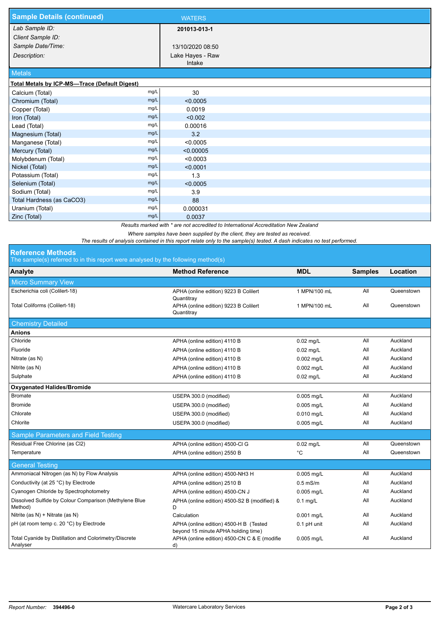| <b>Sample Details (continued)</b>             |      | <b>WATERS</b>    |  |
|-----------------------------------------------|------|------------------|--|
| Lab Sample ID:                                |      | 201013-013-1     |  |
| Client Sample ID:                             |      |                  |  |
| Sample Date/Time:                             |      | 13/10/2020 08:50 |  |
| Description:                                  |      | Lake Hayes - Raw |  |
|                                               |      | Intake           |  |
| <b>Metals</b>                                 |      |                  |  |
| Total Metals by ICP-MS-Trace (Default Digest) |      |                  |  |
| Calcium (Total)                               | mg/L | 30               |  |
| Chromium (Total)                              | mg/L | < 0.0005         |  |
| Copper (Total)                                | mg/L | 0.0019           |  |
| Iron (Total)                                  | mg/L | < 0.002          |  |
| Lead (Total)                                  | mg/L | 0.00016          |  |
| Magnesium (Total)                             | mg/L | 3.2              |  |
| Manganese (Total)                             | mg/L | < 0.0005         |  |
| Mercury (Total)                               | mg/L | < 0.00005        |  |
| Molybdenum (Total)                            | mg/L | < 0.0003         |  |
| Nickel (Total)                                | mg/L | < 0.0001         |  |
| Potassium (Total)                             | mg/L | 1.3              |  |
| Selenium (Total)                              | mg/L | < 0.0005         |  |
| Sodium (Total)                                | mg/L | 3.9              |  |
| Total Hardness (as CaCO3)                     | mg/L | 88               |  |
| Uranium (Total)                               | mg/L | 0.000031         |  |
| Zinc (Total)                                  | mg/L | 0.0037           |  |

*Results marked with \* are not accredited to International Accreditation New Zealand*

*Where samples have been supplied by the client, they are tested as received.* 

*The results of analysis contained in this report relate only to the sample(s) tested. A dash indicates no test performed.*

## **Reference Methods**

The sample(s) referred to in this report were analysed by the following method(s)

| The sample(s) relency to in this report were analysed by the following method(s). |                                                                               |              |                |            |  |  |  |  |
|-----------------------------------------------------------------------------------|-------------------------------------------------------------------------------|--------------|----------------|------------|--|--|--|--|
| Analyte                                                                           | <b>Method Reference</b>                                                       | <b>MDL</b>   | <b>Samples</b> | Location   |  |  |  |  |
| <b>Micro Summary View</b>                                                         |                                                                               |              |                |            |  |  |  |  |
| Escherichia coli (Colilert-18)                                                    | APHA (online edition) 9223 B Colilert<br>Quantitray                           | 1 MPN/100 mL | All            | Queenstown |  |  |  |  |
| Total Coliforms (Colilert-18)                                                     | APHA (online edition) 9223 B Colilert<br>Quantitray                           | 1 MPN/100 mL | All            | Queenstown |  |  |  |  |
| <b>Chemistry Detailed</b>                                                         |                                                                               |              |                |            |  |  |  |  |
| <b>Anions</b>                                                                     |                                                                               |              |                |            |  |  |  |  |
| Chloride                                                                          | APHA (online edition) 4110 B                                                  | $0.02$ mg/L  | All            | Auckland   |  |  |  |  |
| Fluoride                                                                          | APHA (online edition) 4110 B                                                  | $0.02$ mg/L  | All            | Auckland   |  |  |  |  |
| Nitrate (as N)                                                                    | APHA (online edition) 4110 B                                                  | $0.002$ mg/L | All            | Auckland   |  |  |  |  |
| Nitrite (as N)                                                                    | APHA (online edition) 4110 B                                                  | $0.002$ mg/L | All            | Auckland   |  |  |  |  |
| Sulphate                                                                          | APHA (online edition) 4110 B                                                  | $0.02$ mg/L  | All            | Auckland   |  |  |  |  |
| <b>Oxygenated Halides/Bromide</b>                                                 |                                                                               |              |                |            |  |  |  |  |
| <b>Bromate</b>                                                                    | USEPA 300.0 (modified)                                                        | $0.005$ mg/L | All            | Auckland   |  |  |  |  |
| <b>Bromide</b>                                                                    | USEPA 300.0 (modified)                                                        | 0.005 mg/L   | All            | Auckland   |  |  |  |  |
| Chlorate                                                                          | USEPA 300.0 (modified)                                                        | $0.010$ mg/L | All            | Auckland   |  |  |  |  |
| Chlorite                                                                          | USEPA 300.0 (modified)                                                        | $0.005$ mg/L | All            | Auckland   |  |  |  |  |
| <b>Sample Parameters and Field Testing</b>                                        |                                                                               |              |                |            |  |  |  |  |
| Residual Free Chlorine (as Cl2)                                                   | APHA (online edition) 4500-Cl G                                               | $0.02$ mg/L  | All            | Queenstown |  |  |  |  |
| Temperature                                                                       | APHA (online edition) 2550 B                                                  | °C           | All            | Queenstown |  |  |  |  |
| <b>General Testing</b>                                                            |                                                                               |              |                |            |  |  |  |  |
| Ammoniacal Nitrogen (as N) by Flow Analysis                                       | APHA (online edition) 4500-NH3 H                                              | $0.005$ mg/L | All            | Auckland   |  |  |  |  |
| Conductivity (at 25 °C) by Electrode                                              | APHA (online edition) 2510 B                                                  | $0.5$ mS/m   | All            | Auckland   |  |  |  |  |
| Cyanogen Chloride by Spectrophotometry                                            | APHA (online edition) 4500-CN J                                               | $0.005$ mg/L | All            | Auckland   |  |  |  |  |
| Dissolved Sulfide by Colour Comparison (Methylene Blue<br>Method)                 | APHA (online edition) 4500-S2 B (modified) &<br>D                             | $0.1$ mg/L   | All            | Auckland   |  |  |  |  |
| Nitrite (as N) + Nitrate (as N)                                                   | Calculation                                                                   | 0.001 mg/L   | All            | Auckland   |  |  |  |  |
| pH (at room temp c. 20 °C) by Electrode                                           | APHA (online edition) 4500-H B (Tested<br>beyond 15 minute APHA holding time) | 0.1 pH unit  | All            | Auckland   |  |  |  |  |
| Total Cyanide by Distillation and Colorimetry/Discrete<br>Analyser                | APHA (online edition) 4500-CN C & E (modifie<br>d)                            | $0.005$ mg/L | All            | Auckland   |  |  |  |  |